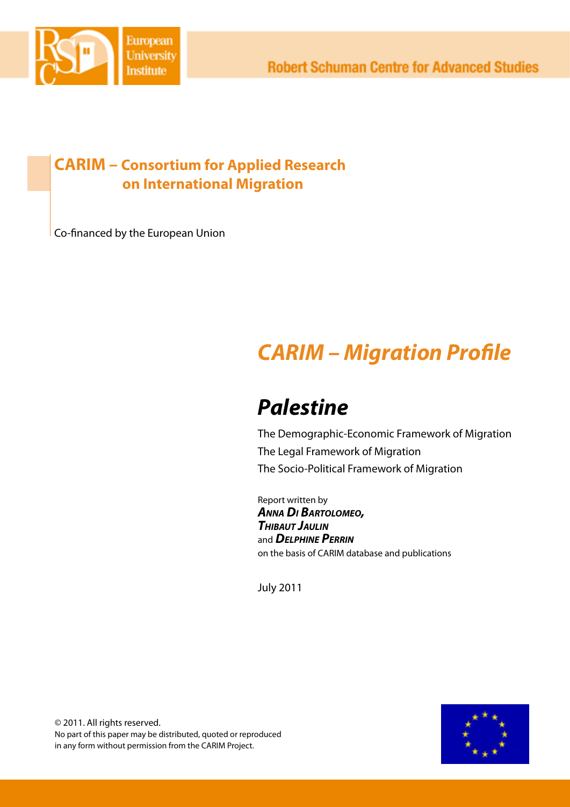

# **CARIM – Consortium for Applied Research on International Migration**

Co-financed by the European Union

# *CARIM – Migration Profile*

# *Palestine*

The Demographic-Economic Framework of Migration The Legal Framework of Migration The Socio-Political Framework of Migration

Report written by *Anna Di Bartolomeo, Thibaut Jaulin* and *Delphine Perrin* on the basis of CARIM database and publications

July 2011

© 2011. All rights reserved. No part of this paper may be distributed, quoted or reproduced in any form without permission from the CARIM Project.

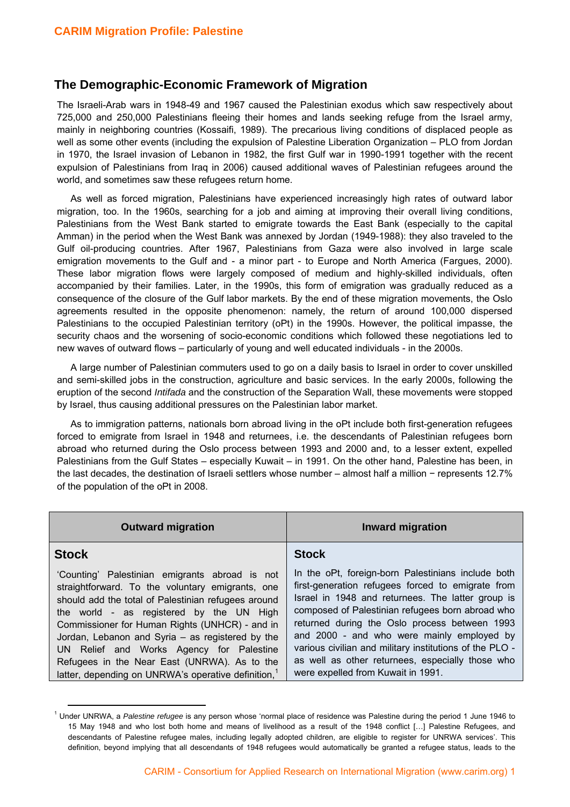#### **The Demographic-Economic Framework of Migration**

The Israeli-Arab wars in 1948-49 and 1967 caused the Palestinian exodus which saw respectively about 725,000 and 250,000 Palestinians fleeing their homes and lands seeking refuge from the Israel army, mainly in neighboring countries (Kossaifi, 1989). The precarious living conditions of displaced people as well as some other events (including the expulsion of Palestine Liberation Organization – PLO from Jordan in 1970, the Israel invasion of Lebanon in 1982, the first Gulf war in 1990-1991 together with the recent expulsion of Palestinians from Iraq in 2006) caused additional waves of Palestinian refugees around the world, and sometimes saw these refugees return home.

As well as forced migration, Palestinians have experienced increasingly high rates of outward labor migration, too. In the 1960s, searching for a job and aiming at improving their overall living conditions, Palestinians from the West Bank started to emigrate towards the East Bank (especially to the capital Amman) in the period when the West Bank was annexed by Jordan (1949-1988): they also traveled to the Gulf oil-producing countries. After 1967, Palestinians from Gaza were also involved in large scale emigration movements to the Gulf and - a minor part - to Europe and North America (Fargues, 2000). These labor migration flows were largely composed of medium and highly-skilled individuals, often accompanied by their families. Later, in the 1990s, this form of emigration was gradually reduced as a consequence of the closure of the Gulf labor markets. By the end of these migration movements, the Oslo agreements resulted in the opposite phenomenon: namely, the return of around 100,000 dispersed Palestinians to the occupied Palestinian territory (oPt) in the 1990s. However, the political impasse, the security chaos and the worsening of socio-economic conditions which followed these negotiations led to new waves of outward flows – particularly of young and well educated individuals - in the 2000s.

A large number of Palestinian commuters used to go on a daily basis to Israel in order to cover unskilled and semi-skilled jobs in the construction, agriculture and basic services. In the early 2000s, following the eruption of the second *Intifada* and the construction of the Separation Wall, these movements were stopped by Israel, thus causing additional pressures on the Palestinian labor market.

As to immigration patterns, nationals born abroad living in the oPt include both first-generation refugees forced to emigrate from Israel in 1948 and returnees, i.e. the descendants of Palestinian refugees born abroad who returned during the Oslo process between 1993 and 2000 and, to a lesser extent, expelled Palestinians from the Gulf States – especially Kuwait – in 1991. On the other hand, Palestine has been, in the last decades, the destination of Israeli settlers whose number – almost half a million − represents 12.7% of the population of the oPt in 2008.

| <b>Outward migration</b>                                                                                                                                                                                                                                                                                                                                                                                                                                                   | <b>Inward migration</b>                                                                                                                                                                                                                                                                                                                                                                                                                                              |
|----------------------------------------------------------------------------------------------------------------------------------------------------------------------------------------------------------------------------------------------------------------------------------------------------------------------------------------------------------------------------------------------------------------------------------------------------------------------------|----------------------------------------------------------------------------------------------------------------------------------------------------------------------------------------------------------------------------------------------------------------------------------------------------------------------------------------------------------------------------------------------------------------------------------------------------------------------|
| <b>Stock</b>                                                                                                                                                                                                                                                                                                                                                                                                                                                               | <b>Stock</b>                                                                                                                                                                                                                                                                                                                                                                                                                                                         |
| 'Counting' Palestinian emigrants abroad is not<br>straightforward. To the voluntary emigrants, one<br>should add the total of Palestinian refugees around<br>the world - as registered by the UN High<br>Commissioner for Human Rights (UNHCR) - and in<br>Jordan, Lebanon and Syria – as registered by the<br>UN Relief and Works Agency for Palestine<br>Refugees in the Near East (UNRWA). As to the<br>latter, depending on UNRWA's operative definition, <sup>1</sup> | In the oPt, foreign-born Palestinians include both<br>first-generation refugees forced to emigrate from<br>Israel in 1948 and returnees. The latter group is<br>composed of Palestinian refugees born abroad who<br>returned during the Oslo process between 1993<br>and 2000 - and who were mainly employed by<br>various civilian and military institutions of the PLO -<br>as well as other returnees, especially those who<br>were expelled from Kuwait in 1991. |

<sup>1</sup> Under UNRWA, a *Palestine refugee* is any person whose 'normal place of residence was Palestine during the period 1 June 1946 to 15 May 1948 and who lost both home and means of livelihood as a result of the 1948 conflict […] Palestine Refugees, and descendants of Palestine refugee males, including legally adopted children, are eligible to register for UNRWA services'. This definition, beyond implying that all descendants of 1948 refugees would automatically be granted a refugee status, leads to the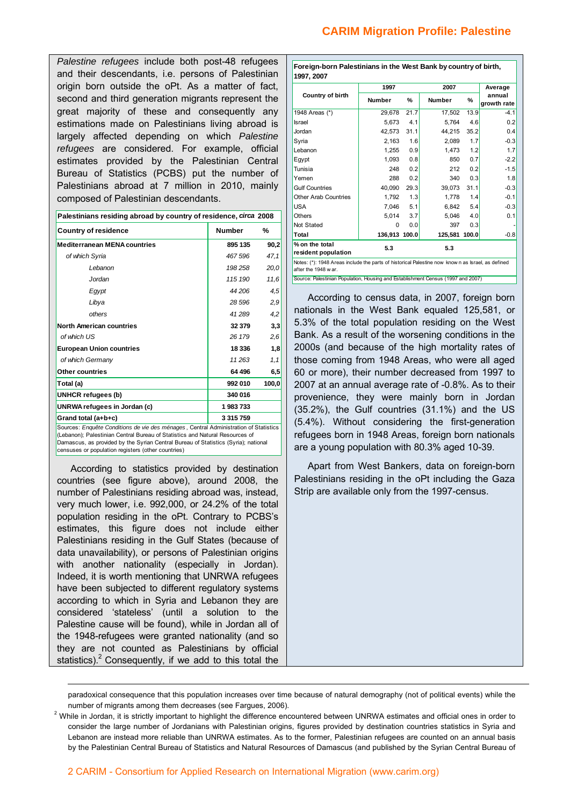*Palestine refugees* include both post-48 refugees and their descendants, i.e. persons of Palestinian origin born outside the oPt. As a matter of fact, second and third generation migrants represent the great majority of these and consequently any estimations made on Palestinians living abroad is largely affected depending on which *Palestine refugees* are considered. For example, official estimates provided by the Palestinian Central Bureau of Statistics (PCBS) put the number of Palestinians abroad at 7 million in 2010, mainly composed of Palestinian descendants.

| Palestinians residing abroad by country of residence, circa 2008 |               |      |  |  |  |
|------------------------------------------------------------------|---------------|------|--|--|--|
| Country of residence                                             | <b>Number</b> | %    |  |  |  |
| Moditorranoan MENA countrios                                     | 805 135       | on ' |  |  |  |

| <b>Mediterranean MENA countries</b>                                                                   | 895 135       | 90,2  |
|-------------------------------------------------------------------------------------------------------|---------------|-------|
| of which Syria                                                                                        | 467 596       | 47,1  |
| Lebanon                                                                                               | 198 258       | 20,0  |
| Jordan                                                                                                | 115 190       | 11,6  |
| Egypt                                                                                                 | 44 206        | 4,5   |
| Libya                                                                                                 | 28 596        | 2,9   |
| others                                                                                                | 41 289        | 4,2   |
| North American countries                                                                              | 32 379        | 3,3   |
| of which US                                                                                           | 26 179        | 2,6   |
| <b>European Union countries</b>                                                                       | 18 3 36       | 1,8   |
| of which Germany                                                                                      | 11263         | 1,1   |
| <b>Other countries</b>                                                                                | 64 496        | 6,5   |
| Total (a)                                                                                             | 992010        | 100,0 |
| UNHCR refugees (b)                                                                                    | 340 016       |       |
| UNRWA refugees in Jordan (c)                                                                          | 1983733       |       |
| Grand total (a+b+c)                                                                                   | 3 3 1 5 7 5 9 |       |
| $\blacksquare$ as $\blacksquare$ as $\blacksquare$ as $\blacksquare$ . Then the set of $\blacksquare$ |               |       |

ources: *Enquête Conditions de vie des ménages*, Central Administration of Statistics (Lebanon); Palestinian Central Bureau of Statistics and Natural Resources of Damascus, as provided by the Syrian Central Bureau of Statistics (Syria); national censuses or population registers (other countries)

According to statistics provided by destination countries (see figure above), around 2008, the number of Palestinians residing abroad was, instead, very much lower, i.e. 992,000, or 24.2% of the total population residing in the oPt. Contrary to PCBS's estimates, this figure does not include either Palestinians residing in the Gulf States (because of data unavailability), or persons of Palestinian origins with another nationality (especially in Jordan). Indeed, it is worth mentioning that UNRWA refugees have been subjected to different regulatory systems according to which in Syria and Lebanon they are considered 'stateless' (until a solution to the Palestine cause will be found), while in Jordan all of the 1948-refugees were granted nationality (and so they are not counted as Palestinians by official statistics).<sup>2</sup> Consequently, if we add to this total the

| Foreign-born Palestinians in the West Bank by country of birth,<br>1997, 2007                                            |               |      |               |      |                       |  |  |
|--------------------------------------------------------------------------------------------------------------------------|---------------|------|---------------|------|-----------------------|--|--|
|                                                                                                                          | 1997          |      | 2007          |      | Average               |  |  |
| Country of birth                                                                                                         | <b>Number</b> | %    | <b>Number</b> | %    | annual<br>growth rate |  |  |
| 1948 Areas (*)                                                                                                           | 29.678        | 21.7 | 17,502        | 13.9 | $-4.1$                |  |  |
| Israel                                                                                                                   | 5,673         | 4.1  | 5.764         | 4.6  | 0.2                   |  |  |
| Jordan                                                                                                                   | 42.573        | 31.1 | 44.215        | 35.2 | 0.4                   |  |  |
| Syria                                                                                                                    | 2.163         | 1.6  | 2,089         | 1.7  | $-0.3$                |  |  |
| Lebanon                                                                                                                  | 1,255         | 0.9  | 1,473         | 1.2  | 1.7                   |  |  |
| Eqypt                                                                                                                    | 1.093         | 0.8  | 850           | 0.7  | $-2.2$                |  |  |
| Tunisia                                                                                                                  | 248           | 0.2  | 212           | 0.2  | $-1.5$                |  |  |
| Yemen                                                                                                                    | 288           | 0.2  | 340           | 0.3  | 1.8                   |  |  |
| <b>Gulf Countries</b>                                                                                                    | 40.090        | 29.3 | 39.073        | 31.1 | $-0.3$                |  |  |
| <b>Other Arab Countries</b>                                                                                              | 1.792         | 1.3  | 1,778         | 1.4  | $-0.1$                |  |  |
| <b>USA</b>                                                                                                               | 7.046         | 5.1  | 6.842         | 5.4  | $-0.3$                |  |  |
| <b>Others</b>                                                                                                            | 5.014         | 3.7  | 5.046         | 4.0  | 0.1                   |  |  |
| Not Stated                                                                                                               | 0             | 0.0  | 397           | 0.3  |                       |  |  |
| Total                                                                                                                    | 136,913 100.0 |      | 125,581 100.0 |      | $-0.8$                |  |  |
| % on the total<br>5.3<br>5.3<br>resident population                                                                      |               |      |               |      |                       |  |  |
| Notes: (*): 1948 Areas include the parts of historical Palestine now known as Israel, as defined<br>after the 1948 w ar. |               |      |               |      |                       |  |  |
| Source: Palestinian Population, Housing and Establishment Census (1997 and 2007)                                         |               |      |               |      |                       |  |  |

According to census data, in 2007, foreign born nationals in the West Bank equaled 125,581, or 5.3% of the total population residing on the West Bank. As a result of the worsening conditions in the 2000s (and because of the high mortality rates of those coming from 1948 Areas, who were all aged 60 or more), their number decreased from 1997 to 2007 at an annual average rate of -0.8%. As to their provenience, they were mainly born in Jordan (35.2%), the Gulf countries (31.1%) and the US (5.4%). Without considering the first-generation refugees born in 1948 Areas, foreign born nationals are a young population with 80.3% aged 10-39.

Apart from West Bankers, data on foreign-born Palestinians residing in the oPt including the Gaza Strip are available only from the 1997-census.

paradoxical consequence that this population increases over time because of natural demography (not of political events) while the number of migrants among them decreases (see Fargues, 2006).

<u> 1989 - Johann Barbara, martxa alemaniar argumentuar argumentuar argumentuar argumentuar argumentuar argumentu</u>

 $2$  While in Jordan, it is strictly important to highlight the difference encountered between UNRWA estimates and official ones in order to consider the large number of Jordanians with Palestinian origins, figures provided by destination countries statistics in Syria and Lebanon are instead more reliable than UNRWA estimates. As to the former, Palestinian refugees are counted on an annual basis by the Palestinian Central Bureau of Statistics and Natural Resources of Damascus (and published by the Syrian Central Bureau of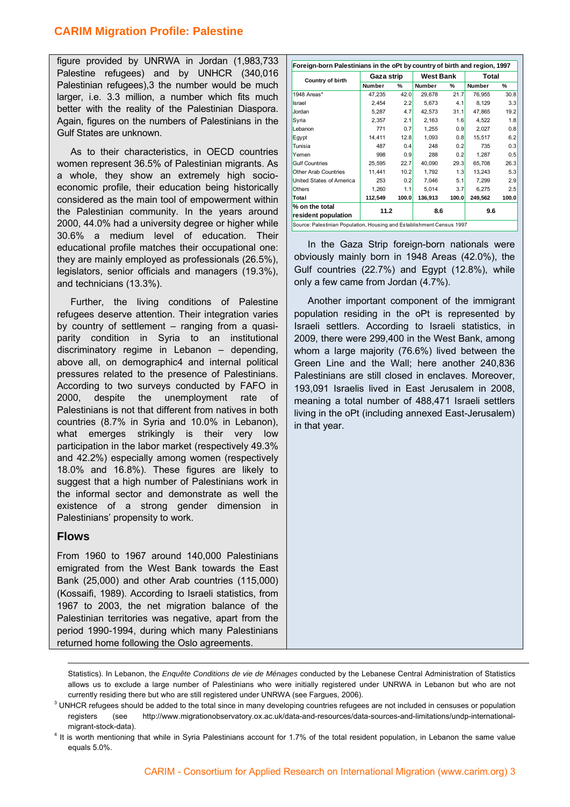figure provided by UNRWA in Jordan (1,983,733 Palestine refugees) and by UNHCR (340,016 Palestinian refugees),3 the number would be much larger, i.e. 3.3 million, a number which fits much better with the reality of the Palestinian Diaspora. Again, figures on the numbers of Palestinians in the Gulf States are unknown.

As to their characteristics, in OECD countries women represent 36.5% of Palestinian migrants. As a whole, they show an extremely high socioeconomic profile, their education being historically considered as the main tool of empowerment within the Palestinian community. In the years around 2000, 44.0% had a university degree or higher while 30.6% a medium level of education. Their educational profile matches their occupational one: they are mainly employed as professionals (26.5%), legislators, senior officials and managers (19.3%), and technicians (13.3%).

Further, the living conditions of Palestine refugees deserve attention. Their integration varies by country of settlement – ranging from a quasiparity condition in Syria to an institutional discriminatory regime in Lebanon – depending, above all, on demographic4 and internal political pressures related to the presence of Palestinians. According to two surveys conducted by FAFO in 2000, despite the unemployment rate of Palestinians is not that different from natives in both countries (8.7% in Syria and 10.0% in Lebanon), what emerges strikingly is their very low participation in the labor market (respectively 49.3% and 42.2%) especially among women (respectively 18.0% and 16.8%). These figures are likely to suggest that a high number of Palestinians work in the informal sector and demonstrate as well the existence of a strong gender dimension in Palestinians' propensity to work.

#### **Flows**

From 1960 to 1967 around 140,000 Palestinians emigrated from the West Bank towards the East Bank (25,000) and other Arab countries (115,000) (Kossaifi, 1989). According to Israeli statistics, from 1967 to 2003, the net migration balance of the Palestinian territories was negative, apart from the period 1990-1994, during which many Palestinians returned home following the Oslo agreements.

| Foreign-born Palestinians in the oPt by country of birth and region, 1997 |               |       |                  |       |         |       |  |
|---------------------------------------------------------------------------|---------------|-------|------------------|-------|---------|-------|--|
| Country of birth                                                          | Gaza strip    |       | <b>West Bank</b> |       | Total   |       |  |
|                                                                           | <b>Number</b> | %     | Number           | %     | Number  | ℀     |  |
| 1948 Areas*                                                               | 47,235        | 42.0  | 29,678           | 21.7  | 76,955  | 30.8  |  |
| Israel                                                                    | 2.454         | 2.2   | 5.673            | 4.1   | 8.129   | 3.3   |  |
| Jordan                                                                    | 5,287         | 4.7   | 42,573           | 31.1  | 47,865  | 19.2  |  |
| Syria                                                                     | 2.357         | 2.1   | 2.163            | 1.6   | 4.522   | 1.8   |  |
| Lebanon                                                                   | 771           | 0.7   | 1,255            | 0.9   | 2,027   | 0.8   |  |
| Egypt                                                                     | 14.411        | 12.8  | 1.093            | 0.8   | 15.517  | 6.2   |  |
| Tunisia                                                                   | 487           | 0.4   | 248              | 0.2   | 735     | 0.3   |  |
| Yemen                                                                     | 998           | 0.9   | 288              | 0.2   | 1.287   | 0.5   |  |
| <b>Gulf Countries</b>                                                     | 25,595        | 22.7  | 40,090           | 29.3  | 65,708  | 26.3  |  |
| Other Arab Countries                                                      | 11,441        | 10.2  | 1.792            | 1.3   | 13,243  | 5.3   |  |
| United States of America                                                  | 253           | 0.2   | 7,046            | 5.1   | 7,299   | 2.9   |  |
| <b>Others</b>                                                             | 1.260         | 1.1   | 5.014            | 3.7   | 6.275   | 2.5   |  |
| Total                                                                     | 112,549       | 100.0 | 136,913          | 100.0 | 249,562 | 100.0 |  |
| % on the total                                                            |               |       |                  |       |         |       |  |
| resident population                                                       | 11.2<br>8.6   |       |                  |       | 9.6     |       |  |
| Source: Palestinian Population, Housing and Establishment Census 1997     |               |       |                  |       |         |       |  |

In the Gaza Strip foreign-born nationals were obviously mainly born in 1948 Areas (42.0%), the Gulf countries (22.7%) and Egypt (12.8%), while only a few came from Jordan (4.7%).

Another important component of the immigrant population residing in the oPt is represented by Israeli settlers. According to Israeli statistics, in 2009, there were 299,400 in the West Bank, among whom a large majority (76.6%) lived between the Green Line and the Wall; here another 240,836 Palestinians are still closed in enclaves. Moreover, 193,091 Israelis lived in East Jerusalem in 2008, meaning a total number of 488,471 Israeli settlers living in the oPt (including annexed East-Jerusalem) in that year.

<u> Andreas Andreas Andreas Andreas Andreas Andreas Andreas Andreas Andreas Andreas Andreas Andreas Andreas Andr</u>

Statistics). In Lebanon, the *Enquête Conditions de vie de Ménages* conducted by the Lebanese Central Administration of Statistics allows us to exclude a large number of Palestinians who were initially registered under UNRWA in Lebanon but who are not currently residing there but who are still registered under UNRWA (see Fargues, 2006).

 $3$  UNHCR refugees should be added to the total since in many developing countries refugees are not included in censuses or population registers (see http://www.migrationobservatory.ox.ac.uk/data-and-resources/data-sources-and-limitations/undp-internationalmigrant-stock-data). 4

<sup>&</sup>lt;sup>4</sup> It is worth mentioning that while in Syria Palestinians account for 1.7% of the total resident population, in Lebanon the same value equals 5.0%.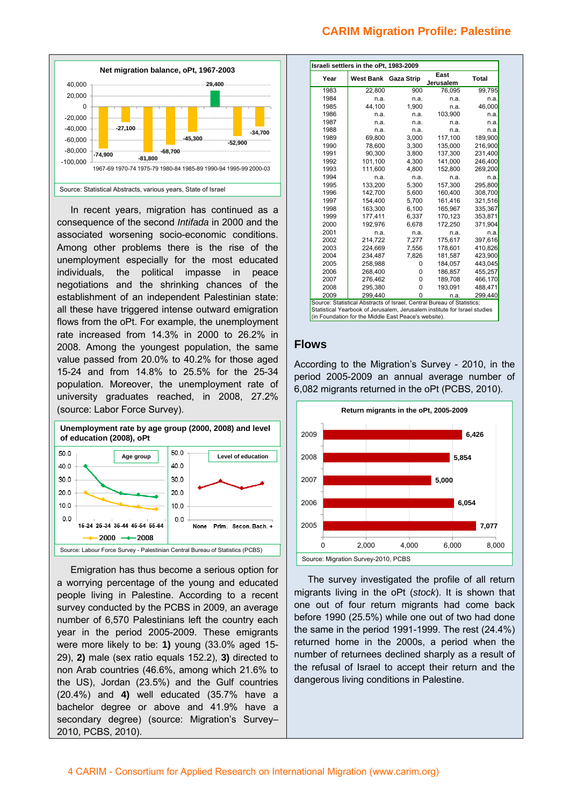

In recent years, migration has continued as a consequence of the second *Intifada* in 2000 and the associated worsening socio-economic conditions. Among other problems there is the rise of the unemployment especially for the most educated individuals, the political impasse in peace negotiations and the shrinking chances of the establishment of an independent Palestinian state: all these have triggered intense outward emigration flows from the oPt. For example, the unemployment rate increased from 14.3% in 2000 to 26.2% in 2008. Among the youngest population, the same value passed from 20.0% to 40.2% for those aged 15-24 and from 14.8% to 25.5% for the 25-34 population. Moreover, the unemployment rate of university graduates reached, in 2008, 27.2% (source: Labor Force Survey).



Emigration has thus become a serious option for a worrying percentage of the young and educated people living in Palestine. According to a recent survey conducted by the PCBS in 2009, an average number of 6,570 Palestinians left the country each year in the period 2005-2009. These emigrants were more likely to be: **1)** young (33.0% aged 15- 29), **2)** male (sex ratio equals 152.2), **3)** directed to non Arab countries (46.6%, among which 21.6% to the US), Jordan (23.5%) and the Gulf countries (20.4%) and **4)** well educated (35.7% have a bachelor degree or above and 41.9% have a secondary degree) (source: Migration's Survey-2010, PCBS, 2010).

| Year | West Bank                                                                         | <b>Gaza Strip</b> | East<br><b>Jerusalem</b> | Total   |
|------|-----------------------------------------------------------------------------------|-------------------|--------------------------|---------|
| 1983 | 22,800                                                                            | 900               | 76.095                   | 99,795  |
| 1984 | n.a.                                                                              | n.a.              | n.a.                     | n.a.    |
| 1985 | 44,100                                                                            | 1,900             | n.a.                     | 46,000  |
| 1986 | n.a.                                                                              | n.a.              | 103,900                  | n.a.    |
| 1987 | n.a.                                                                              | n.a.              | n.a.                     | n.a.    |
| 1988 | n.a.                                                                              | n.a.              | n.a.                     | n.a.    |
| 1989 | 69,800                                                                            | 3,000             | 117,100                  | 189,900 |
| 1990 | 78.600                                                                            | 3.300             | 135.000                  | 216.900 |
| 1991 | 90,300                                                                            | 3,800             | 137,300                  | 231,400 |
| 1992 | 101,100                                                                           | 4.300             | 141,000                  | 246,400 |
| 1993 | 111.600                                                                           | 4,800             | 152,800                  | 269,200 |
| 1994 | n.a.                                                                              | n.a.              | n.a.                     | n.a.    |
| 1995 | 133,200                                                                           | 5,300             | 157,300                  | 295,800 |
| 1996 | 142,700                                                                           | 5.600             | 160,400                  | 308,700 |
| 1997 | 154,400                                                                           | 5,700             | 161,416                  | 321,516 |
| 1998 | 163,300                                                                           | 6,100             | 165,967                  | 335,367 |
| 1999 | 177,411                                                                           | 6,337             | 170,123                  | 353,871 |
| 2000 | 192.976                                                                           | 6.678             | 172.250                  | 371,904 |
| 2001 | n.a.                                                                              | n.a.              | n.a.                     | n.a.    |
| 2002 | 214.722                                                                           | 7.277             | 175.617                  | 397.616 |
| 2003 | 224,669                                                                           | 7,556             | 178,601                  | 410,826 |
| 2004 | 234.487                                                                           | 7.826             | 181.587                  | 423,900 |
| 2005 | 258,988                                                                           | 0                 | 184,057                  | 443,045 |
| 2006 | 268,400                                                                           | 0                 | 186,857                  | 455,257 |
| 2007 | 276,462                                                                           | 0                 | 189,708                  | 466,170 |
| 2008 | 295,380                                                                           | 0                 | 193,091                  | 488,471 |
| 2009 | 299.440<br>Source: Statistical Abstracts of Israel, Central Bureau of Statistics; | 0                 | n.a.                     | 299,440 |

Statistical Yearbook of Jerusalem, Jerusalem institute for Israel studies (in Foundation for the Middle East Peace's website).

#### **Flows**

According to the Migration's Survey - 2010, in the period 2005-2009 an annual average number of 6,082 migrants returned in the oPt (PCBS, 2010).



The survey investigated the profile of all return migrants living in the oPt (*stock*). It is shown that one out of four return migrants had come back before 1990 (25.5%) while one out of two had done the same in the period 1991-1999. The rest (24.4%) returned home in the 2000s, a period when the number of returnees declined sharply as a result of the refusal of Israel to accept their return and the dangerous living conditions in Palestine.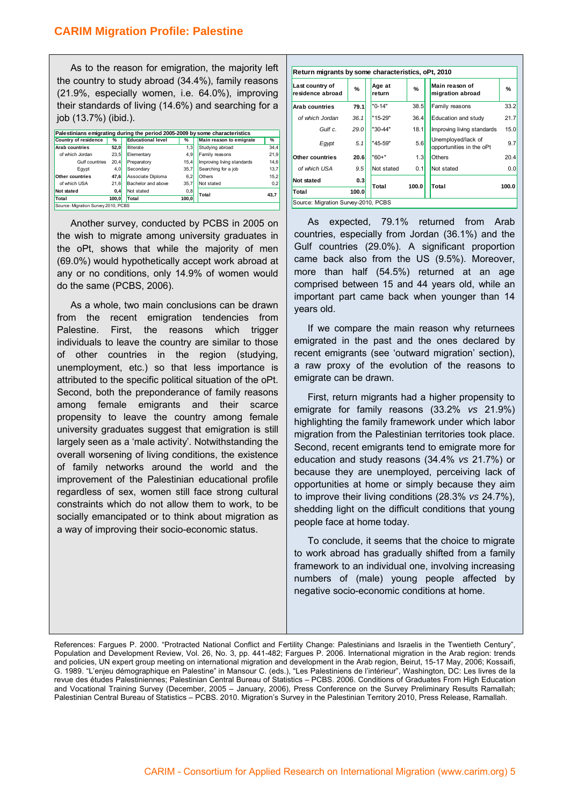As to the reason for emigration, the majority left the country to study abroad (34.4%), family reasons (21.9%, especially women, i.e. 64.0%), improving their standards of living (14.6%) and searching for a job (13.7%) (ibid.).

| Palestinians emigrating during the period 2005-2009 by some characteristics |       |                               |       |                            |      |  |
|-----------------------------------------------------------------------------|-------|-------------------------------|-------|----------------------------|------|--|
| Country of residence<br>%                                                   |       | <b>Educational level</b><br>℅ |       | Main reason to emigrate    | %    |  |
| <b>Arab countries</b>                                                       | 52,0  | <b>Illiterate</b>             | 1,3   | Studying abroad            | 34,4 |  |
| of which Jordan                                                             | 23.5  | Elementary                    | 4,9   | Family reasons             | 21,9 |  |
| 20,4<br>Gulf countries                                                      |       | Preparatory                   | 15.4  | Improving living standards | 14,6 |  |
| Egypt                                                                       | 4.0   | Secondary                     | 35.7  | Searching for a job        | 13,7 |  |
| 47,6<br>Other countries                                                     |       | Associate Diploma             | 6.2   | Others                     | 15,2 |  |
| of which USA                                                                | 21,6  | Bachelor and above            | 35.7  | Not stated                 | 0,2  |  |
| Not stated                                                                  | 0,4   | Not stated                    | 0,8   | Total                      |      |  |
| Total                                                                       | 100.0 | Total                         | 100.0 |                            | 43,7 |  |
| Source: Migration Survey 2010, PCBS                                         |       |                               |       |                            |      |  |

Another survey, conducted by PCBS in 2005 on the wish to migrate among university graduates in the oPt, shows that while the majority of men (69.0%) would hypothetically accept work abroad at any or no conditions, only 14.9% of women would do the same (PCBS, 2006).

As a whole, two main conclusions can be drawn from the recent emigration tendencies from Palestine. First, the reasons which trigger individuals to leave the country are similar to those of other countries in the region (studying, unemployment, etc.) so that less importance is attributed to the specific political situation of the oPt. Second, both the preponderance of family reasons among female emigrants and their scarce propensity to leave the country among female university graduates suggest that emigration is still largely seen as a 'male activity'. Notwithstanding the overall worsening of living conditions, the existence of family networks around the world and the improvement of the Palestinian educational profile regardless of sex, women still face strong cultural constraints which do not allow them to work, to be socially emancipated or to think about migration as a way of improving their socio-economic status.

| Return migrants by some characteristics, oPt, 2010 |       |                  |               |                                                       |  |  |  |  |  |
|----------------------------------------------------|-------|------------------|---------------|-------------------------------------------------------|--|--|--|--|--|
| Last country of<br>residence abroad                | $\%$  | Age at<br>return | $\frac{9}{6}$ | Main reason of<br>%<br>migration abroad               |  |  |  |  |  |
| <b>Arab countries</b>                              | 79.1  | "0-14"           | 38.5          | 33.2<br>Family reasons                                |  |  |  |  |  |
| of which Jordan                                    | 36.1  | "15-29"          | 36.4          | 21.7<br>Education and study                           |  |  |  |  |  |
| Gulf c.                                            | 29.0  | "30-44"          | 18.1          | 15.0<br>Improving living standards                    |  |  |  |  |  |
| Egypt                                              | 5.1   | "45-59"          | 5.6           | Unemployed/lack of<br>9.7<br>opportunities in the oPt |  |  |  |  |  |
| Other countries                                    | 20.6  | $"60+"$          | 1.3           | Others<br>20.4                                        |  |  |  |  |  |
| of which USA                                       | 9.5   | Not stated       | 0.1           | Not stated<br>0.0                                     |  |  |  |  |  |
| Not stated                                         | 0.3   | Total            | 100.0         | Total<br>100.0                                        |  |  |  |  |  |
| Total                                              | 100.0 |                  |               |                                                       |  |  |  |  |  |
|                                                    |       |                  |               | Source: Migration Survey-2010, PCBS                   |  |  |  |  |  |

As expected, 79.1% returned from Arab countries, especially from Jordan (36.1%) and the Gulf countries (29.0%). A significant proportion came back also from the US (9.5%). Moreover, more than half (54.5%) returned at an age comprised between 15 and 44 years old, while an important part came back when younger than 14 years old.

If we compare the main reason why returnees emigrated in the past and the ones declared by recent emigrants (see 'outward migration' section), a raw proxy of the evolution of the reasons to emigrate can be drawn.

First, return migrants had a higher propensity to emigrate for family reasons (33.2% *vs* 21.9%) highlighting the family framework under which labor migration from the Palestinian territories took place. Second, recent emigrants tend to emigrate more for education and study reasons (34.4% *vs* 21.7%) or because they are unemployed, perceiving lack of opportunities at home or simply because they aim to improve their living conditions (28.3% *vs* 24.7%), shedding light on the difficult conditions that young people face at home today.

To conclude, it seems that the choice to migrate to work abroad has gradually shifted from a family framework to an individual one, involving increasing numbers of (male) young people affected by negative socio-economic conditions at home.

References: Fargues P. 2000. "Protracted National Conflict and Fertility Change: Palestinians and Israelis in the Twentieth Century", Population and Development Review, Vol. 26, No. 3, pp. 441-482; Fargues P. 2006. International migration in the Arab region: trends and policies, UN expert group meeting on international migration and development in the Arab region, Beirut, 15-17 May, 2006; Kossaifi, G. 1989. "L'enjeu démographique en Palestine" in Mansour C. (eds.), "Les Palestiniens de l'intérieur", Washington, DC: Les livres de la revue des études Palestiniennes; Palestinian Central Bureau of Statistics – PCBS. 2006. Conditions of Graduates From High Education and Vocational Training Survey (December, 2005 – January, 2006), Press Conference on the Survey Preliminary Results Ramallah; Palestinian Central Bureau of Statistics – PCBS. 2010. Migration's Survey in the Palestinian Territory 2010, Press Release, Ramallah.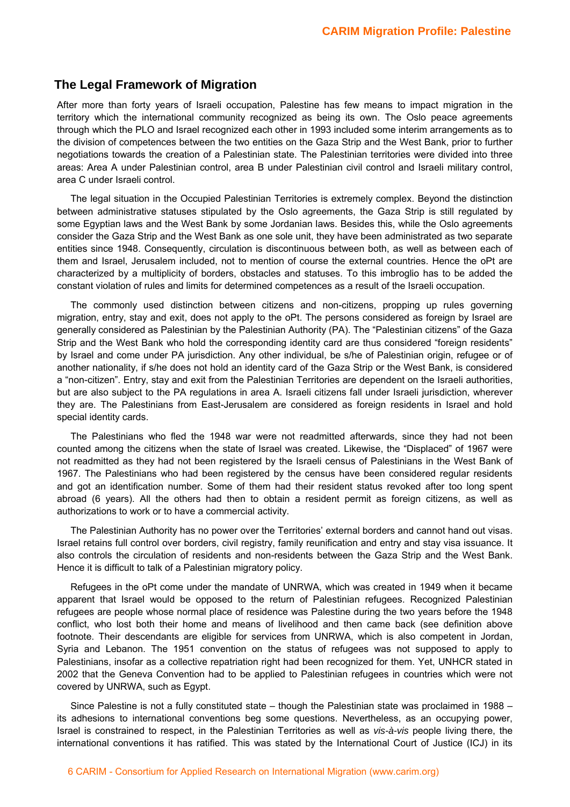#### **The Legal Framework of Migration**

After more than forty years of Israeli occupation, Palestine has few means to impact migration in the territory which the international community recognized as being its own. The Oslo peace agreements through which the PLO and Israel recognized each other in 1993 included some interim arrangements as to the division of competences between the two entities on the Gaza Strip and the West Bank, prior to further negotiations towards the creation of a Palestinian state. The Palestinian territories were divided into three areas: Area A under Palestinian control, area B under Palestinian civil control and Israeli military control, area C under Israeli control.

The legal situation in the Occupied Palestinian Territories is extremely complex. Beyond the distinction between administrative statuses stipulated by the Oslo agreements, the Gaza Strip is still regulated by some Egyptian laws and the West Bank by some Jordanian laws. Besides this, while the Oslo agreements consider the Gaza Strip and the West Bank as one sole unit, they have been administrated as two separate entities since 1948. Consequently, circulation is discontinuous between both, as well as between each of them and Israel, Jerusalem included, not to mention of course the external countries. Hence the oPt are characterized by a multiplicity of borders, obstacles and statuses. To this imbroglio has to be added the constant violation of rules and limits for determined competences as a result of the Israeli occupation.

The commonly used distinction between citizens and non-citizens, propping up rules governing migration, entry, stay and exit, does not apply to the oPt. The persons considered as foreign by Israel are generally considered as Palestinian by the Palestinian Authority (PA). The "Palestinian citizens" of the Gaza Strip and the West Bank who hold the corresponding identity card are thus considered "foreign residents" by Israel and come under PA jurisdiction. Any other individual, be s/he of Palestinian origin, refugee or of another nationality, if s/he does not hold an identity card of the Gaza Strip or the West Bank, is considered a "non-citizen". Entry, stay and exit from the Palestinian Territories are dependent on the Israeli authorities, but are also subject to the PA regulations in area A. Israeli citizens fall under Israeli jurisdiction, wherever they are. The Palestinians from East-Jerusalem are considered as foreign residents in Israel and hold special identity cards.

The Palestinians who fled the 1948 war were not readmitted afterwards, since they had not been counted among the citizens when the state of Israel was created. Likewise, the "Displaced" of 1967 were not readmitted as they had not been registered by the Israeli census of Palestinians in the West Bank of 1967. The Palestinians who had been registered by the census have been considered regular residents and got an identification number. Some of them had their resident status revoked after too long spent abroad (6 years). All the others had then to obtain a resident permit as foreign citizens, as well as authorizations to work or to have a commercial activity.

The Palestinian Authority has no power over the Territories' external borders and cannot hand out visas. Israel retains full control over borders, civil registry, family reunification and entry and stay visa issuance. It also controls the circulation of residents and non-residents between the Gaza Strip and the West Bank. Hence it is difficult to talk of a Palestinian migratory policy.

Refugees in the oPt come under the mandate of UNRWA, which was created in 1949 when it became apparent that Israel would be opposed to the return of Palestinian refugees. Recognized Palestinian refugees are people whose normal place of residence was Palestine during the two years before the 1948 conflict, who lost both their home and means of livelihood and then came back (see definition above footnote. Their descendants are eligible for services from UNRWA, which is also competent in Jordan, Syria and Lebanon. The 1951 convention on the status of refugees was not supposed to apply to Palestinians, insofar as a collective repatriation right had been recognized for them. Yet, UNHCR stated in 2002 that the Geneva Convention had to be applied to Palestinian refugees in countries which were not covered by UNRWA, such as Egypt.

Since Palestine is not a fully constituted state – though the Palestinian state was proclaimed in 1988 – its adhesions to international conventions beg some questions. Nevertheless, as an occupying power, Israel is constrained to respect, in the Palestinian Territories as well as *vis-à-vis* people living there, the international conventions it has ratified. This was stated by the International Court of Justice (ICJ) in its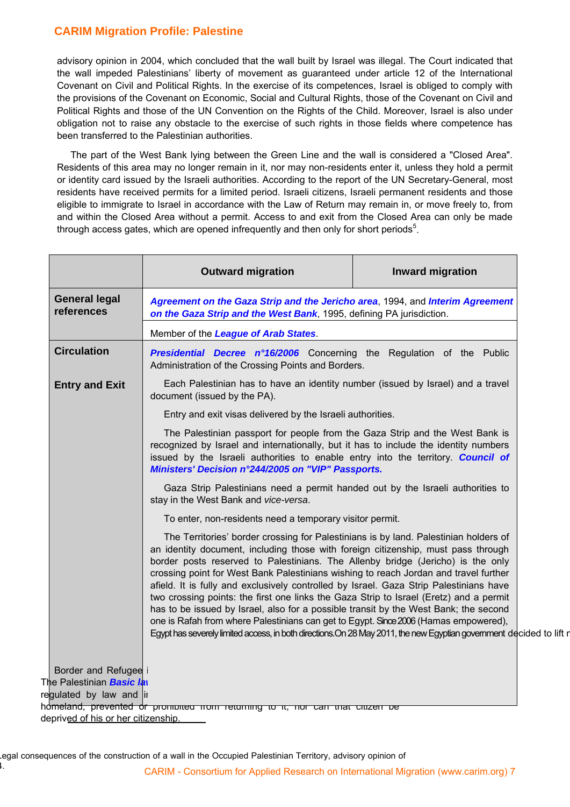advisory opinion in 2004, which concluded that the wall built by Israel was illegal. The Court indicated that the wall impeded Palestinians' liberty of movement as guaranteed under article 12 of the International Covenant on Civil and Political Rights. In the exercise of its competences, Israel is obliged to comply with the provisions of the Covenant on Economic, Social and Cultural Rights, those of the Covenant on Civil and Political Rights and those of the UN Convention on the Rights of the Child. Moreover, Israel is also under obligation not to raise any obstacle to the exercise of such rights in those fields where competence has been transferred to the Palestinian authorities.

The part of the West Bank lying between the Green Line and the wall is considered a "Closed Area". Residents of this area may no longer remain in it, nor may non-residents enter it, unless they hold a permit or identity card issued by the Israeli authorities. According to the report of the UN Secretary-General, most residents have received permits for a limited period. Israeli citizens, Israeli permanent residents and those eligible to immigrate to Israel in accordance with the Law of Return may remain in, or move freely to, from and within the Closed Area without a permit. Access to and exit from the Closed Area can only be made through access gates, which are opened infrequently and then only for short periods<sup>5</sup>.

|                                                         | <b>Outward migration</b>                                                                                                                                                                                                                                                                                                                                                                                                                                                                                                                                                                                                                                                                                                                                                                                                                         | <b>Inward migration</b> |  |  |  |
|---------------------------------------------------------|--------------------------------------------------------------------------------------------------------------------------------------------------------------------------------------------------------------------------------------------------------------------------------------------------------------------------------------------------------------------------------------------------------------------------------------------------------------------------------------------------------------------------------------------------------------------------------------------------------------------------------------------------------------------------------------------------------------------------------------------------------------------------------------------------------------------------------------------------|-------------------------|--|--|--|
| <b>General legal</b><br>references                      | Agreement on the Gaza Strip and the Jericho area, 1994, and Interim Agreement<br>on the Gaza Strip and the West Bank, 1995, defining PA jurisdiction.                                                                                                                                                                                                                                                                                                                                                                                                                                                                                                                                                                                                                                                                                            |                         |  |  |  |
|                                                         | Member of the League of Arab States.                                                                                                                                                                                                                                                                                                                                                                                                                                                                                                                                                                                                                                                                                                                                                                                                             |                         |  |  |  |
| <b>Circulation</b>                                      | Presidential Decree n°16/2006 Concerning the Regulation of the Public<br>Administration of the Crossing Points and Borders.                                                                                                                                                                                                                                                                                                                                                                                                                                                                                                                                                                                                                                                                                                                      |                         |  |  |  |
| <b>Entry and Exit</b>                                   | Each Palestinian has to have an identity number (issued by Israel) and a travel<br>document (issued by the PA).                                                                                                                                                                                                                                                                                                                                                                                                                                                                                                                                                                                                                                                                                                                                  |                         |  |  |  |
|                                                         | Entry and exit visas delivered by the Israeli authorities.                                                                                                                                                                                                                                                                                                                                                                                                                                                                                                                                                                                                                                                                                                                                                                                       |                         |  |  |  |
|                                                         | The Palestinian passport for people from the Gaza Strip and the West Bank is<br>recognized by Israel and internationally, but it has to include the identity numbers<br>issued by the Israeli authorities to enable entry into the territory. Council of<br>Ministers' Decision n°244/2005 on "VIP" Passports.                                                                                                                                                                                                                                                                                                                                                                                                                                                                                                                                   |                         |  |  |  |
|                                                         | Gaza Strip Palestinians need a permit handed out by the Israeli authorities to<br>stay in the West Bank and vice-versa.                                                                                                                                                                                                                                                                                                                                                                                                                                                                                                                                                                                                                                                                                                                          |                         |  |  |  |
|                                                         | To enter, non-residents need a temporary visitor permit.                                                                                                                                                                                                                                                                                                                                                                                                                                                                                                                                                                                                                                                                                                                                                                                         |                         |  |  |  |
|                                                         | The Territories' border crossing for Palestinians is by land. Palestinian holders of<br>an identity document, including those with foreign citizenship, must pass through<br>border posts reserved to Palestinians. The Allenby bridge (Jericho) is the only<br>crossing point for West Bank Palestinians wishing to reach Jordan and travel further<br>afield. It is fully and exclusively controlled by Israel. Gaza Strip Palestinians have<br>two crossing points: the first one links the Gaza Strip to Israel (Eretz) and a permit<br>has to be issued by Israel, also for a possible transit by the West Bank; the second<br>one is Rafah from where Palestinians can get to Egypt. Since 2006 (Hamas empowered),<br>Egypt has severely limited access, in both directions. On 28 May 2011, the new Egyptian government decided to lift r |                         |  |  |  |
| Border and Refugee<br>The Palestinian <i>Basic la</i> n | regulated by law and in                                                                                                                                                                                                                                                                                                                                                                                                                                                                                                                                                                                                                                                                                                                                                                                                                          |                         |  |  |  |

CARIM - Consortium for Applied Research on International Migration (www.carim.org) 7 legal consequences of the construction of a wall in the Occupied Palestinian Territory, advisory opinion of k.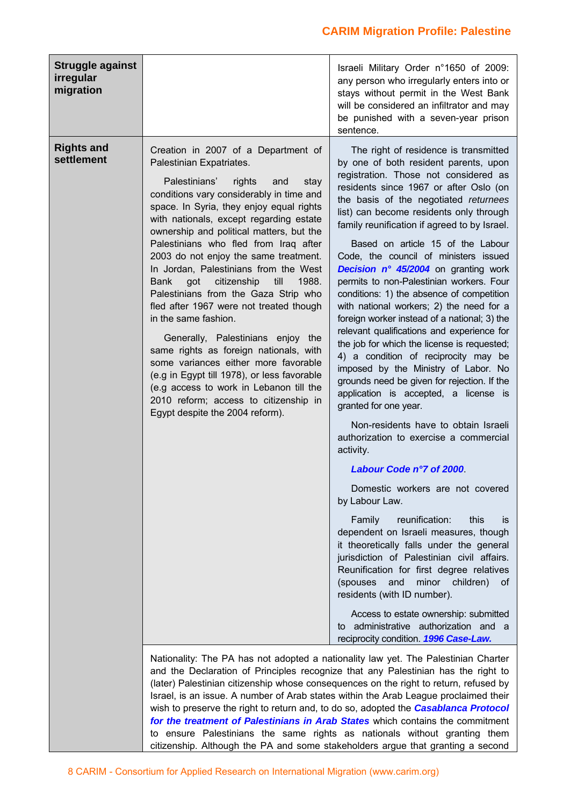| Struggle against<br>irregular<br>migration |                                                                                                                                                                                                                                                                                                                                                                                                                                                                                                                                                                                                                                                                                                                                                                                                                                                                                   | Israeli Military Order n°1650 of 2009:<br>any person who irregularly enters into or<br>stays without permit in the West Bank<br>will be considered an infiltrator and may<br>be punished with a seven-year prison<br>sentence.                                                                                                                                                                                                                                                                                                                                                                                                                                                                                                                                                                                                                                                                                                                                                                                                                                                                                                                                                                                                                                                                                                                                                                                                                                                                                                    |  |  |  |
|--------------------------------------------|-----------------------------------------------------------------------------------------------------------------------------------------------------------------------------------------------------------------------------------------------------------------------------------------------------------------------------------------------------------------------------------------------------------------------------------------------------------------------------------------------------------------------------------------------------------------------------------------------------------------------------------------------------------------------------------------------------------------------------------------------------------------------------------------------------------------------------------------------------------------------------------|-----------------------------------------------------------------------------------------------------------------------------------------------------------------------------------------------------------------------------------------------------------------------------------------------------------------------------------------------------------------------------------------------------------------------------------------------------------------------------------------------------------------------------------------------------------------------------------------------------------------------------------------------------------------------------------------------------------------------------------------------------------------------------------------------------------------------------------------------------------------------------------------------------------------------------------------------------------------------------------------------------------------------------------------------------------------------------------------------------------------------------------------------------------------------------------------------------------------------------------------------------------------------------------------------------------------------------------------------------------------------------------------------------------------------------------------------------------------------------------------------------------------------------------|--|--|--|
| <b>Rights and</b><br>settlement            | Creation in 2007 of a Department of<br>Palestinian Expatriates.<br>Palestinians'<br>rights<br>stay<br>and<br>conditions vary considerably in time and<br>space. In Syria, they enjoy equal rights<br>with nationals, except regarding estate<br>ownership and political matters, but the<br>Palestinians who fled from Iraq after<br>2003 do not enjoy the same treatment.<br>In Jordan, Palestinians from the West<br>got<br>citizenship<br>till<br>1988.<br><b>Bank</b><br>Palestinians from the Gaza Strip who<br>fled after 1967 were not treated though<br>in the same fashion.<br>Generally, Palestinians enjoy the<br>same rights as foreign nationals, with<br>some variances either more favorable<br>(e.g in Egypt till 1978), or less favorable<br>(e.g access to work in Lebanon till the<br>2010 reform; access to citizenship in<br>Egypt despite the 2004 reform). | The right of residence is transmitted<br>by one of both resident parents, upon<br>registration. Those not considered as<br>residents since 1967 or after Oslo (on<br>the basis of the negotiated returnees<br>list) can become residents only through<br>family reunification if agreed to by Israel.<br>Based on article 15 of the Labour<br>Code, the council of ministers issued<br>Decision n° 45/2004 on granting work<br>permits to non-Palestinian workers. Four<br>conditions: 1) the absence of competition<br>with national workers; 2) the need for a<br>foreign worker instead of a national; 3) the<br>relevant qualifications and experience for<br>the job for which the license is requested;<br>4) a condition of reciprocity may be<br>imposed by the Ministry of Labor. No<br>grounds need be given for rejection. If the<br>application is accepted, a license is<br>granted for one year.<br>Non-residents have to obtain Israeli<br>authorization to exercise a commercial<br>activity.<br>Labour Code n°7 of 2000<br>Domestic workers are not covered<br>by Labour Law.<br>reunification:<br>Family<br>this<br>İS.<br>dependent on Israeli measures, though<br>it theoretically falls under the general<br>jurisdiction of Palestinian civil affairs.<br>Reunification for first degree relatives<br>and<br>minor<br>(spouses<br>children) of<br>residents (with ID number).<br>Access to estate ownership: submitted<br>administrative authorization and a<br>to<br>reciprocity condition. 1996 Case-Law. |  |  |  |
|                                            | Nationality: The PA has not adopted a nationality law yet. The Palestinian Charter<br>and the Declaration of Principles recognize that any Palestinian has the right to<br>(later) Palestinian citizenship whose consequences on the right to return, refused by<br>Israel, is an issue. A number of Arab states within the Arab League proclaimed their<br>wish to preserve the right to return and, to do so, adopted the <b>Casablanca Protocol</b><br>for the treatment of Palestinians in Arab States which contains the commitment<br>to ensure Palestinians the same rights as nationals without granting them<br>citizenship. Although the PA and some stakeholders argue that granting a second                                                                                                                                                                          |                                                                                                                                                                                                                                                                                                                                                                                                                                                                                                                                                                                                                                                                                                                                                                                                                                                                                                                                                                                                                                                                                                                                                                                                                                                                                                                                                                                                                                                                                                                                   |  |  |  |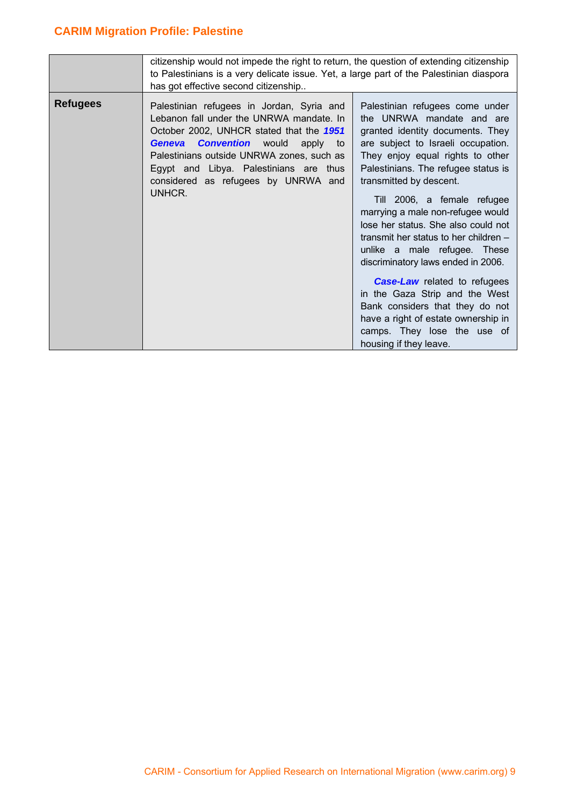|                 | citizenship would not impede the right to return, the question of extending citizenship<br>to Palestinians is a very delicate issue. Yet, a large part of the Palestinian diaspora<br>has got effective second citizenship                                                                                           |                                                                                                                                                                                                                                                                                                                                                                                                                                                                                                                                                                                                                                                                                    |  |  |  |  |
|-----------------|----------------------------------------------------------------------------------------------------------------------------------------------------------------------------------------------------------------------------------------------------------------------------------------------------------------------|------------------------------------------------------------------------------------------------------------------------------------------------------------------------------------------------------------------------------------------------------------------------------------------------------------------------------------------------------------------------------------------------------------------------------------------------------------------------------------------------------------------------------------------------------------------------------------------------------------------------------------------------------------------------------------|--|--|--|--|
| <b>Refugees</b> | Palestinian refugees in Jordan, Syria and<br>Lebanon fall under the UNRWA mandate. In<br>October 2002, UNHCR stated that the 1951<br><b>Geneva Convention</b> would apply to<br>Palestinians outside UNRWA zones, such as<br>Egypt and Libya. Palestinians are thus<br>considered as refugees by UNRWA and<br>UNHCR. | Palestinian refugees come under<br>the UNRWA mandate and are<br>granted identity documents. They<br>are subject to Israeli occupation.<br>They enjoy equal rights to other<br>Palestinians. The refugee status is<br>transmitted by descent.<br>Till 2006, a female refugee<br>marrying a male non-refugee would<br>lose her status. She also could not<br>transmit her status to her children -<br>unlike a male refugee. These<br>discriminatory laws ended in 2006.<br><b>Case-Law</b> related to refugees<br>in the Gaza Strip and the West<br>Bank considers that they do not<br>have a right of estate ownership in<br>camps. They lose the use of<br>housing if they leave. |  |  |  |  |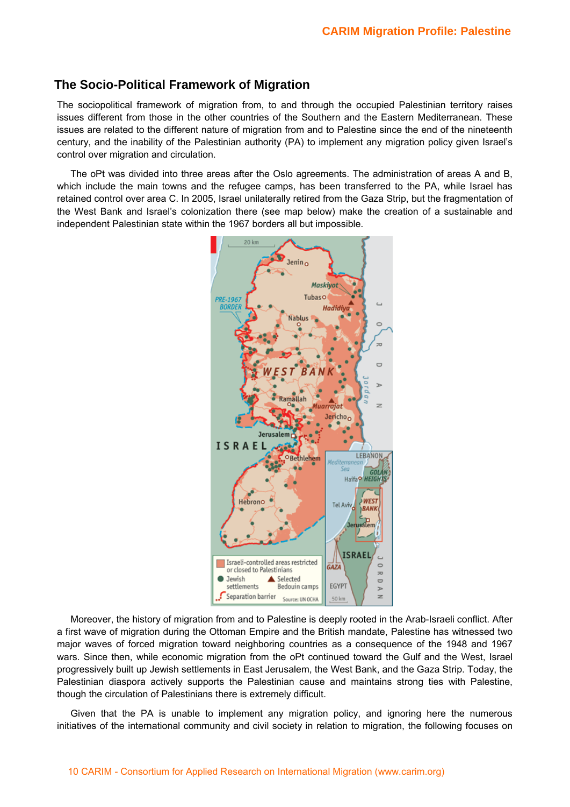### **The Socio-Political Framework of Migration**

The sociopolitical framework of migration from, to and through the occupied Palestinian territory raises issues different from those in the other countries of the Southern and the Eastern Mediterranean. These issues are related to the different nature of migration from and to Palestine since the end of the nineteenth century, and the inability of the Palestinian authority (PA) to implement any migration policy given Israel's control over migration and circulation.

The oPt was divided into three areas after the Oslo agreements. The administration of areas A and B, which include the main towns and the refugee camps, has been transferred to the PA, while Israel has retained control over area C. In 2005, Israel unilaterally retired from the Gaza Strip, but the fragmentation of the West Bank and Israel's colonization there (see map below) make the creation of a sustainable and independent Palestinian state within the 1967 borders all but impossible.



Moreover, the history of migration from and to Palestine is deeply rooted in the Arab-Israeli conflict. After a first wave of migration during the Ottoman Empire and the British mandate, Palestine has witnessed two major waves of forced migration toward neighboring countries as a consequence of the 1948 and 1967 wars. Since then, while economic migration from the oPt continued toward the Gulf and the West, Israel progressively built up Jewish settlements in East Jerusalem, the West Bank, and the Gaza Strip. Today, the Palestinian diaspora actively supports the Palestinian cause and maintains strong ties with Palestine, though the circulation of Palestinians there is extremely difficult.

Given that the PA is unable to implement any migration policy, and ignoring here the numerous initiatives of the international community and civil society in relation to migration, the following focuses on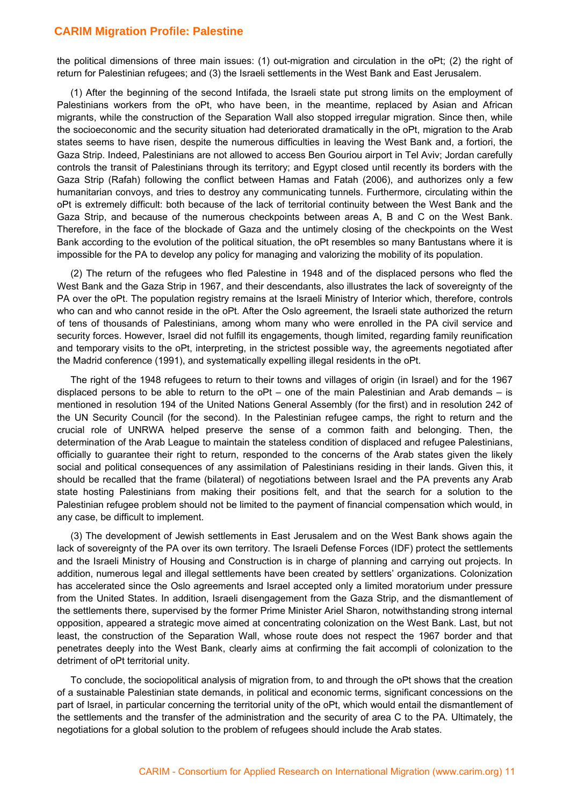the political dimensions of three main issues: (1) out-migration and circulation in the oPt; (2) the right of return for Palestinian refugees; and (3) the Israeli settlements in the West Bank and East Jerusalem.

(1) After the beginning of the second Intifada, the Israeli state put strong limits on the employment of Palestinians workers from the oPt, who have been, in the meantime, replaced by Asian and African migrants, while the construction of the Separation Wall also stopped irregular migration. Since then, while the socioeconomic and the security situation had deteriorated dramatically in the oPt, migration to the Arab states seems to have risen, despite the numerous difficulties in leaving the West Bank and, a fortiori, the Gaza Strip. Indeed, Palestinians are not allowed to access Ben Gouriou airport in Tel Aviv; Jordan carefully controls the transit of Palestinians through its territory; and Egypt closed until recently its borders with the Gaza Strip (Rafah) following the conflict between Hamas and Fatah (2006), and authorizes only a few humanitarian convoys, and tries to destroy any communicating tunnels. Furthermore, circulating within the oPt is extremely difficult: both because of the lack of territorial continuity between the West Bank and the Gaza Strip, and because of the numerous checkpoints between areas A, B and C on the West Bank. Therefore, in the face of the blockade of Gaza and the untimely closing of the checkpoints on the West Bank according to the evolution of the political situation, the oPt resembles so many Bantustans where it is impossible for the PA to develop any policy for managing and valorizing the mobility of its population.

(2) The return of the refugees who fled Palestine in 1948 and of the displaced persons who fled the West Bank and the Gaza Strip in 1967, and their descendants, also illustrates the lack of sovereignty of the PA over the oPt. The population registry remains at the Israeli Ministry of Interior which, therefore, controls who can and who cannot reside in the oPt. After the Oslo agreement, the Israeli state authorized the return of tens of thousands of Palestinians, among whom many who were enrolled in the PA civil service and security forces. However, Israel did not fulfill its engagements, though limited, regarding family reunification and temporary visits to the oPt, interpreting, in the strictest possible way, the agreements negotiated after the Madrid conference (1991), and systematically expelling illegal residents in the oPt.

The right of the 1948 refugees to return to their towns and villages of origin (in Israel) and for the 1967 displaced persons to be able to return to the oPt – one of the main Palestinian and Arab demands – is mentioned in resolution 194 of the United Nations General Assembly (for the first) and in resolution 242 of the UN Security Council (for the second). In the Palestinian refugee camps, the right to return and the crucial role of UNRWA helped preserve the sense of a common faith and belonging. Then, the determination of the Arab League to maintain the stateless condition of displaced and refugee Palestinians, officially to guarantee their right to return, responded to the concerns of the Arab states given the likely social and political consequences of any assimilation of Palestinians residing in their lands. Given this, it should be recalled that the frame (bilateral) of negotiations between Israel and the PA prevents any Arab state hosting Palestinians from making their positions felt, and that the search for a solution to the Palestinian refugee problem should not be limited to the payment of financial compensation which would, in any case, be difficult to implement.

(3) The development of Jewish settlements in East Jerusalem and on the West Bank shows again the lack of sovereignty of the PA over its own territory. The Israeli Defense Forces (IDF) protect the settlements and the Israeli Ministry of Housing and Construction is in charge of planning and carrying out projects. In addition, numerous legal and illegal settlements have been created by settlers' organizations. Colonization has accelerated since the Oslo agreements and Israel accepted only a limited moratorium under pressure from the United States. In addition, Israeli disengagement from the Gaza Strip, and the dismantlement of the settlements there, supervised by the former Prime Minister Ariel Sharon, notwithstanding strong internal opposition, appeared a strategic move aimed at concentrating colonization on the West Bank. Last, but not least, the construction of the Separation Wall, whose route does not respect the 1967 border and that penetrates deeply into the West Bank, clearly aims at confirming the fait accompli of colonization to the detriment of oPt territorial unity.

To conclude, the sociopolitical analysis of migration from, to and through the oPt shows that the creation of a sustainable Palestinian state demands, in political and economic terms, significant concessions on the part of Israel, in particular concerning the territorial unity of the oPt, which would entail the dismantlement of the settlements and the transfer of the administration and the security of area C to the PA. Ultimately, the negotiations for a global solution to the problem of refugees should include the Arab states.